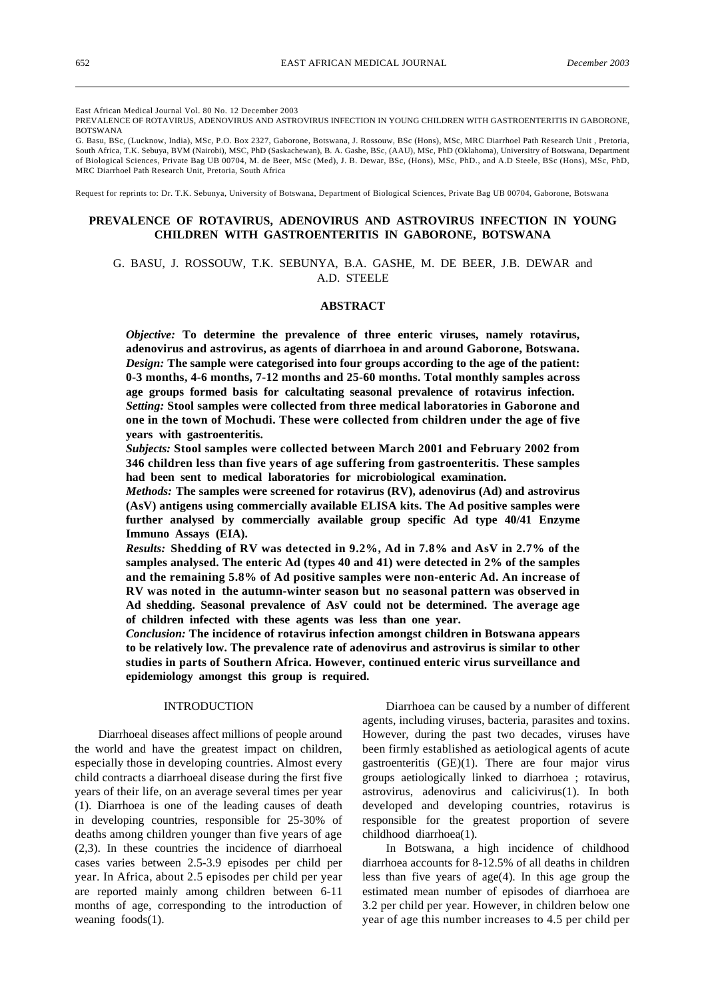East African Medical Journal Vol. 80 No. 12 December 2003

PREVALENCE OF ROTAVIRUS, ADENOVIRUS AND ASTROVIRUS INFECTION IN YOUNG CHILDREN WITH GASTROENTERITIS IN GABORONE, BOTSWANA

G. Basu, BSc, (Lucknow, India), MSc, P.O. Box 2327, Gaborone, Botswana, J. Rossouw, BSc (Hons), MSc, MRC Diarrhoel Path Research Unit , Pretoria, South Africa, T.K. Sebuya, BVM (Nairobi), MSC, PhD (Saskachewan), B. A. Gashe, BSc, (AAU), MSc, PhD (Oklahoma), Universitry of Botswana, Department of Biological Sciences, Private Bag UB 00704, M. de Beer, MSc (Med), J. B. Dewar, BSc, (Hons), MSc, PhD., and A.D Steele, BSc (Hons), MSc, PhD, MRC Diarrhoel Path Research Unit, Pretoria, South Africa

Request for reprints to: Dr. T.K. Sebunya, University of Botswana, Department of Biological Sciences, Private Bag UB 00704, Gaborone, Botswana

# **PREVALENCE OF ROTAVIRUS, ADENOVIRUS AND ASTROVIRUS INFECTION IN YOUNG CHILDREN WITH GASTROENTERITIS IN GABORONE, BOTSWANA**

# G. BASU, J. ROSSOUW, T.K. SEBUNYA, B.A. GASHE, M. DE BEER, J.B. DEWAR and A.D. STEELE

# **ABSTRACT**

*Objective:* **To determine the prevalence of three enteric viruses, namely rotavirus, adenovirus and astrovirus, as agents of diarrhoea in and around Gaborone, Botswana.** *Design:* **The sample were categorised into four groups according to the age of the patient: 0-3 months, 4-6 months, 7-12 months and 25-60 months. Total monthly samples across age groups formed basis for calcultating seasonal prevalence of rotavirus infection.** *Setting:* **Stool samples were collected from three medical laboratories in Gaborone and one in the town of Mochudi. These were collected from children under the age of five years with gastroenteritis.**

*Subjects:* **Stool samples were collected between March 2001 and February 2002 from 346 children less than five years of age suffering from gastroenteritis. These samples had been sent to medical laboratories for microbiological examination.**

*Methods:* **The samples were screened for rotavirus (RV), adenovirus (Ad) and astrovirus (AsV) antigens using commercially available ELISA kits. The Ad positive samples were further analysed by commercially available group specific Ad type 40/41 Enzyme Immuno Assays (EIA).**

*Results:* **Shedding of RV was detected in 9.2%, Ad in 7.8% and AsV in 2.7% of the samples analysed. The enteric Ad (types 40 and 41) were detected in 2% of the samples and the remaining 5.8% of Ad positive samples were non-enteric Ad. An increase of RV was noted in the autumn-winter season but no seasonal pattern was observed in Ad shedding. Seasonal prevalence of AsV could not be determined. The average age of children infected with these agents was less than one year.**

*Conclusion:* **The incidence of rotavirus infection amongst children in Botswana appears to be relatively low. The prevalence rate of adenovirus and astrovirus is similar to other studies in parts of Southern Africa. However, continued enteric virus surveillance and epidemiology amongst this group is required.**

# INTRODUCTION

Diarrhoeal diseases affect millions of people around the world and have the greatest impact on children, especially those in developing countries. Almost every child contracts a diarrhoeal disease during the first five years of their life, on an average several times per year (1). Diarrhoea is one of the leading causes of death in developing countries, responsible for 25-30% of deaths among children younger than five years of age (2,3). In these countries the incidence of diarrhoeal cases varies between 2.5-3.9 episodes per child per year. In Africa, about 2.5 episodes per child per year are reported mainly among children between 6-11 months of age, corresponding to the introduction of weaning foods(1).

Diarrhoea can be caused by a number of different agents, including viruses, bacteria, parasites and toxins. However, during the past two decades, viruses have been firmly established as aetiological agents of acute gastroenteritis (GE)(1). There are four major virus groups aetiologically linked to diarrhoea ; rotavirus, astrovirus, adenovirus and calicivirus(1). In both developed and developing countries, rotavirus is responsible for the greatest proportion of severe childhood diarrhoea(1).

In Botswana, a high incidence of childhood diarrhoea accounts for 8-12.5% of all deaths in children less than five years of age(4). In this age group the estimated mean number of episodes of diarrhoea are 3.2 per child per year. However, in children below one year of age this number increases to 4.5 per child per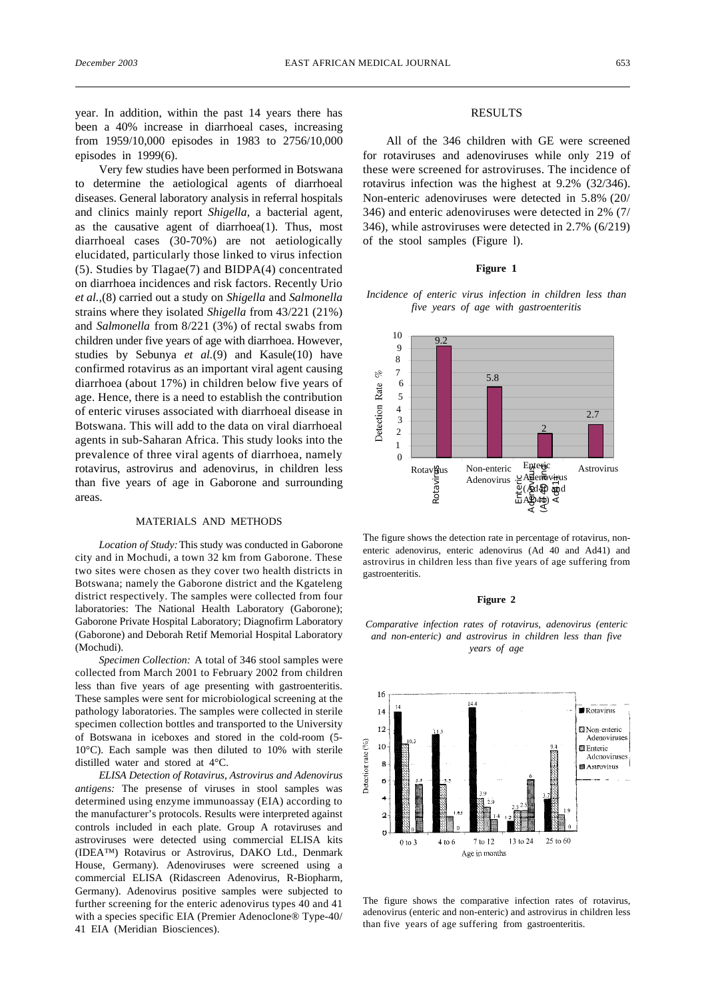year. In addition, within the past 14 years there has been a 40% increase in diarrhoeal cases, increasing from 1959/10,000 episodes in 1983 to 2756/10,000 episodes in 1999(6).

Very few studies have been performed in Botswana to determine the aetiological agents of diarrhoeal diseases. General laboratory analysis in referral hospitals and clinics mainly report *Shigella,* a bacterial agent, as the causative agent of diarrhoea(1). Thus, most diarrhoeal cases (30-70%) are not aetiologically elucidated, particularly those linked to virus infection (5). Studies by Tlagae(7) and BIDPA(4) concentrated on diarrhoea incidences and risk factors. Recently Urio *et al.,*(8) carried out a study on *Shigella* and *Salmonella* strains where they isolated *Shigella* from 43/221 (21%) and *Salmonella* from 8/221 (3%) of rectal swabs from children under five years of age with diarrhoea. However, studies by Sebunya *et al.*(9) and Kasule(10) have confirmed rotavirus as an important viral agent causing diarrhoea (about 17%) in children below five years of age. Hence, there is a need to establish the contribution of enteric viruses associated with diarrhoeal disease in Botswana. This will add to the data on viral diarrhoeal agents in sub-Saharan Africa. This study looks into the prevalence of three viral agents of diarrhoea, namely rotavirus, astrovirus and adenovirus, in children less than five years of age in Gaborone and surrounding areas.

#### MATERIALS AND METHODS

*Location of Study:* This study was conducted in Gaborone city and in Mochudi, a town 32 km from Gaborone. These two sites were chosen as they cover two health districts in Botswana; namely the Gaborone district and the Kgateleng district respectively. The samples were collected from four laboratories: The National Health Laboratory (Gaborone); Gaborone Private Hospital Laboratory; Diagnofirm Laboratory (Gaborone) and Deborah Retif Memorial Hospital Laboratory (Mochudi).

*Specimen Collection:* A total of 346 stool samples were collected from March 2001 to February 2002 from children less than five years of age presenting with gastroenteritis. These samples were sent for microbiological screening at the pathology laboratories. The samples were collected in sterile specimen collection bottles and transported to the University of Botswana in iceboxes and stored in the cold-room (5- 10°C). Each sample was then diluted to 10% with sterile distilled water and stored at 4°C.

*ELISA Detection of Rotavirus, Astrovirus and Adenovirus antigens:* The presense of viruses in stool samples was determined using enzyme immunoassay (EIA) according to the manufacturer's protocols. Results were interpreted against controls included in each plate. Group A rotaviruses and astroviruses were detected using commercial ELISA kits (IDEA™) Rotavirus or Astrovirus, DAKO Ltd., Denmark House, Germany). Adenoviruses were screened using a commercial ELISA (Ridascreen Adenovirus, R-Biopharm, Germany). Adenovirus positive samples were subjected to further screening for the enteric adenovirus types 40 and 41 with a species specific EIA (Premier Adenoclone® Type-40/ 41 EIA (Meridian Biosciences).

### RESULTS

All of the 346 children with GE were screened for rotaviruses and adenoviruses while only 219 of these were screened for astroviruses. The incidence of rotavirus infection was the highest at 9.2% (32/346). Non-enteric adenoviruses were detected in 5.8% (20/ 346) and enteric adenoviruses were detected in 2% (7/ 346), while astroviruses were detected in 2.7% (6/219) of the stool samples (Figure l).

#### **Figure 1**

*Incidence of enteric virus infection in children less than five years of age with gastroenteritis*



The figure shows the detection rate in percentage of rotavirus, nonenteric adenovirus, enteric adenovirus (Ad 40 and Ad41) and astrovirus in children less than five years of age suffering from gastroenteritis.

#### **Figure 2**

*Comparative infection rates of rotavirus, adenovirus (enteric and non-enteric) and astrovirus in children less than five years of age*



The figure shows the comparative infection rates of rotavirus, adenovirus (enteric and non-enteric) and astrovirus in children less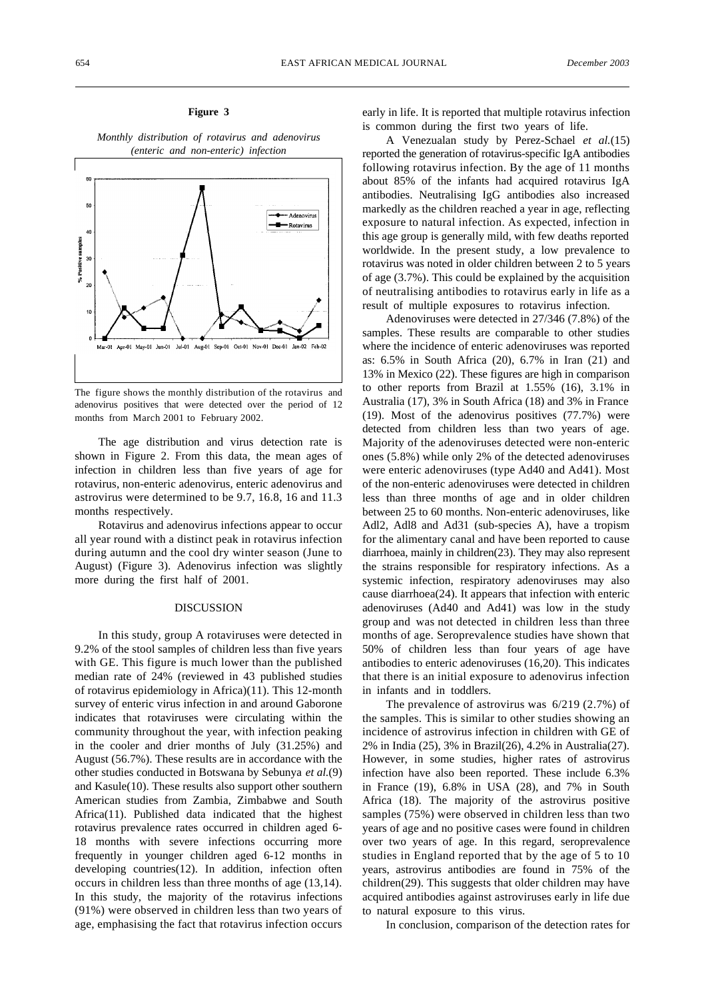### **Figure 3**

*Monthly distribution of rotavirus and adenovirus (enteric and non-enteric) infection*



The figure shows the monthly distribution of the rotavirus and adenovirus positives that were detected over the period of 12 months from March 2001 to February 2002.

The age distribution and virus detection rate is shown in Figure 2. From this data, the mean ages of infection in children less than five years of age for rotavirus, non-enteric adenovirus, enteric adenovirus and astrovirus were determined to be 9.7, 16.8, 16 and 11.3 months respectively.

Rotavirus and adenovirus infections appear to occur all year round with a distinct peak in rotavirus infection during autumn and the cool dry winter season (June to August) (Figure 3). Adenovirus infection was slightly more during the first half of 2001.

### DISCUSSION

In this study, group A rotaviruses were detected in 9.2% of the stool samples of children less than five years with GE. This figure is much lower than the published median rate of 24% (reviewed in 43 published studies of rotavirus epidemiology in Africa)(11). This 12-month survey of enteric virus infection in and around Gaborone indicates that rotaviruses were circulating within the community throughout the year, with infection peaking in the cooler and drier months of July (31.25%) and August (56.7%). These results are in accordance with the other studies conducted in Botswana by Sebunya *et al.*(9) and Kasule(10). These results also support other southern American studies from Zambia, Zimbabwe and South Africa(11). Published data indicated that the highest rotavirus prevalence rates occurred in children aged 6- 18 months with severe infections occurring more frequently in younger children aged 6-12 months in developing countries(12). In addition, infection often occurs in children less than three months of age (13,14). In this study, the majority of the rotavirus infections (91%) were observed in children less than two years of age, emphasising the fact that rotavirus infection occurs early in life. It is reported that multiple rotavirus infection is common during the first two years of life.

A Venezualan study by Perez-Schael *et al.*(15) reported the generation of rotavirus-specific IgA antibodies following rotavirus infection. By the age of 11 months about 85% of the infants had acquired rotavirus IgA antibodies. Neutralising IgG antibodies also increased markedly as the children reached a year in age, reflecting exposure to natural infection. As expected, infection in this age group is generally mild, with few deaths reported worldwide. In the present study, a low prevalence to rotavirus was noted in older children between 2 to 5 years of age (3.7%). This could be explained by the acquisition of neutralising antibodies to rotavirus early in life as a result of multiple exposures to rotavirus infection.

Adenoviruses were detected in 27/346 (7.8%) of the samples. These results are comparable to other studies where the incidence of enteric adenoviruses was reported as: 6.5% in South Africa (20), 6.7% in Iran (21) and 13% in Mexico (22). These figures are high in comparison to other reports from Brazil at 1.55% (16), 3.1% in Australia (17), 3% in South Africa (18) and 3% in France (19). Most of the adenovirus positives (77.7%) were detected from children less than two years of age. Majority of the adenoviruses detected were non-enteric ones (5.8%) while only 2% of the detected adenoviruses were enteric adenoviruses (type Ad40 and Ad41). Most of the non-enteric adenoviruses were detected in children less than three months of age and in older children between 25 to 60 months. Non-enteric adenoviruses, like Adl2, Adl8 and Ad31 (sub-species A), have a tropism for the alimentary canal and have been reported to cause diarrhoea, mainly in children(23). They may also represent the strains responsible for respiratory infections. As a systemic infection, respiratory adenoviruses may also cause diarrhoea(24). It appears that infection with enteric adenoviruses (Ad40 and Ad41) was low in the study group and was not detected in children less than three months of age. Seroprevalence studies have shown that 50% of children less than four years of age have antibodies to enteric adenoviruses (16,20). This indicates that there is an initial exposure to adenovirus infection in infants and in toddlers.

The prevalence of astrovirus was 6/219 (2.7%) of the samples. This is similar to other studies showing an incidence of astrovirus infection in children with GE of 2% in India (25), 3% in Brazil(26), 4.2% in Australia(27). However, in some studies, higher rates of astrovirus infection have also been reported. These include 6.3% in France (19), 6.8% in USA (28), and 7% in South Africa (18). The majority of the astrovirus positive samples (75%) were observed in children less than two years of age and no positive cases were found in children over two years of age. In this regard, seroprevalence studies in England reported that by the age of 5 to 10 years, astrovirus antibodies are found in 75% of the children(29). This suggests that older children may have acquired antibodies against astroviruses early in life due to natural exposure to this virus.

In conclusion, comparison of the detection rates for